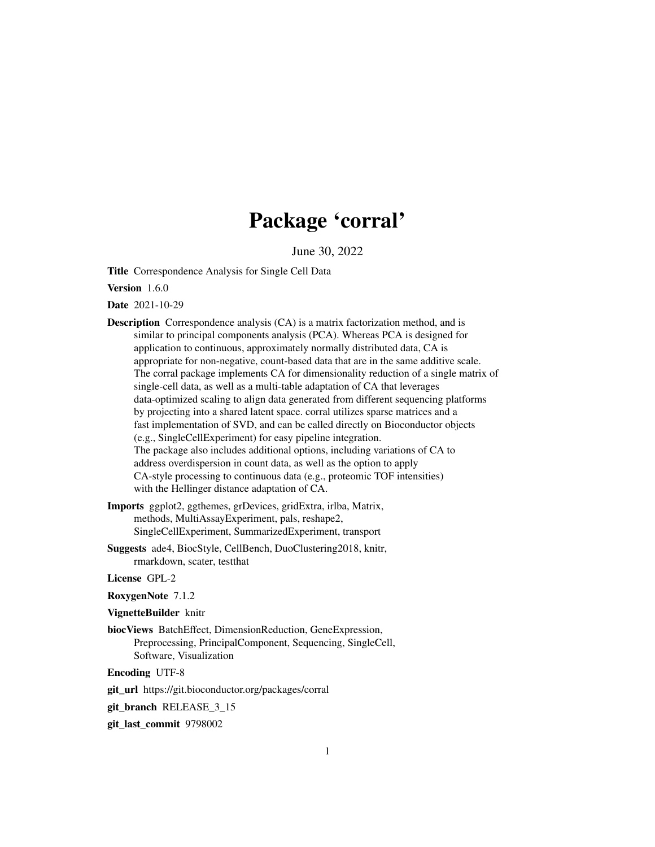## Package 'corral'

June 30, 2022

<span id="page-0-0"></span>Title Correspondence Analysis for Single Cell Data

Version 1.6.0

Date 2021-10-29

- Description Correspondence analysis (CA) is a matrix factorization method, and is similar to principal components analysis (PCA). Whereas PCA is designed for application to continuous, approximately normally distributed data, CA is appropriate for non-negative, count-based data that are in the same additive scale. The corral package implements CA for dimensionality reduction of a single matrix of single-cell data, as well as a multi-table adaptation of CA that leverages data-optimized scaling to align data generated from different sequencing platforms by projecting into a shared latent space. corral utilizes sparse matrices and a fast implementation of SVD, and can be called directly on Bioconductor objects (e.g., SingleCellExperiment) for easy pipeline integration. The package also includes additional options, including variations of CA to address overdispersion in count data, as well as the option to apply CA-style processing to continuous data (e.g., proteomic TOF intensities) with the Hellinger distance adaptation of CA.
- Imports ggplot2, ggthemes, grDevices, gridExtra, irlba, Matrix, methods, MultiAssayExperiment, pals, reshape2, SingleCellExperiment, SummarizedExperiment, transport
- Suggests ade4, BiocStyle, CellBench, DuoClustering2018, knitr, rmarkdown, scater, testthat

License GPL-2

RoxygenNote 7.1.2

VignetteBuilder knitr

biocViews BatchEffect, DimensionReduction, GeneExpression, Preprocessing, PrincipalComponent, Sequencing, SingleCell, Software, Visualization

Encoding UTF-8

git\_url https://git.bioconductor.org/packages/corral

git\_branch RELEASE\_3\_15

git\_last\_commit 9798002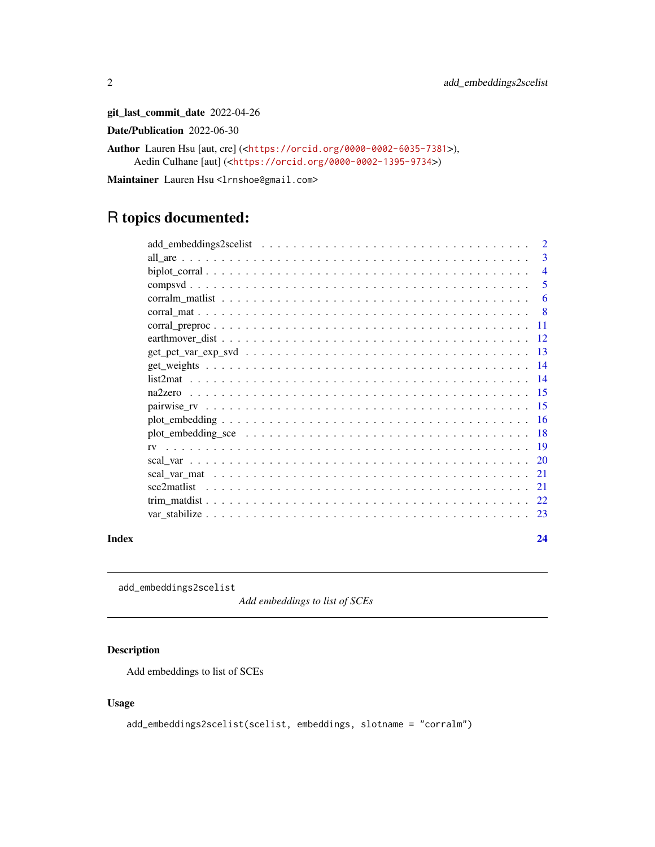git\_last\_commit\_date 2022-04-26

Date/Publication 2022-06-30

Author Lauren Hsu [aut, cre] (<<https://orcid.org/0000-0002-6035-7381>>), Aedin Culhane [aut] (<<https://orcid.org/0000-0002-1395-9734>>)

Maintainer Lauren Hsu <lrnshoe@gmail.com>

## R topics documented:

|       |             | $\overline{2}$ |
|-------|-------------|----------------|
|       |             | $\overline{3}$ |
|       |             | $\overline{4}$ |
|       |             | 5              |
|       |             | 6              |
|       |             | - 8            |
|       | -11         |                |
|       |             |                |
|       |             |                |
|       |             |                |
|       |             |                |
|       |             |                |
|       |             |                |
|       |             |                |
|       |             |                |
|       |             |                |
|       |             |                |
|       |             |                |
|       | sce2matlist |                |
|       |             |                |
|       |             |                |
| Index |             | 24             |

add\_embeddings2scelist

*Add embeddings to list of SCEs*

## Description

Add embeddings to list of SCEs

#### Usage

```
add_embeddings2scelist(scelist, embeddings, slotname = "corralm")
```
<span id="page-1-0"></span>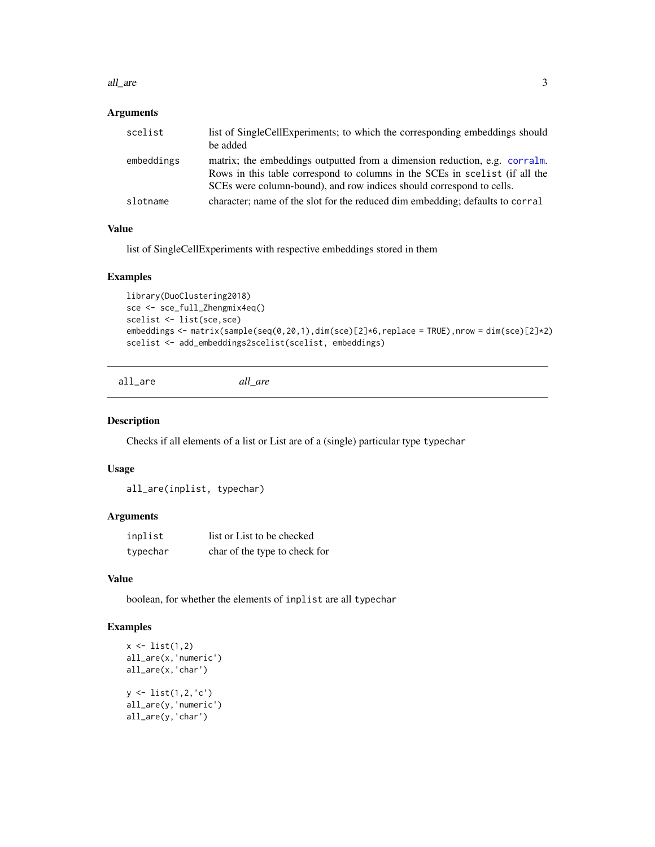#### <span id="page-2-0"></span>all\_are 3

## Arguments

| scelist    | list of SingleCellExperiments; to which the corresponding embeddings should<br>be added                                                                                                                                           |
|------------|-----------------------------------------------------------------------------------------------------------------------------------------------------------------------------------------------------------------------------------|
| embeddings | matrix; the embeddings outputted from a dimension reduction, e.g. corralm.<br>Rows in this table correspond to columns in the SCEs in scelist (if all the<br>SCEs were column-bound), and row indices should correspond to cells. |
| slotname   | character; name of the slot for the reduced dim embedding; defaults to corral                                                                                                                                                     |

#### Value

list of SingleCellExperiments with respective embeddings stored in them

#### Examples

```
library(DuoClustering2018)
sce <- sce_full_Zhengmix4eq()
scelist <- list(sce,sce)
embeddings <- matrix(sample(seq(0,20,1),dim(sce)[2]*6,replace = TRUE),nrow = dim(sce)[2]*2)
scelist <- add_embeddings2scelist(scelist, embeddings)
```
all\_are *all\_are*

#### Description

Checks if all elements of a list or List are of a (single) particular type typechar

#### Usage

all\_are(inplist, typechar)

#### Arguments

| inplist  | list or List to be checked    |
|----------|-------------------------------|
| typechar | char of the type to check for |

#### Value

boolean, for whether the elements of inplist are all typechar

```
x \leftarrow list(1,2)
all_are(x,'numeric')
all_are(x,'char')
y <- list(1,2,'c')
all_are(y,'numeric')
all_are(y,'char')
```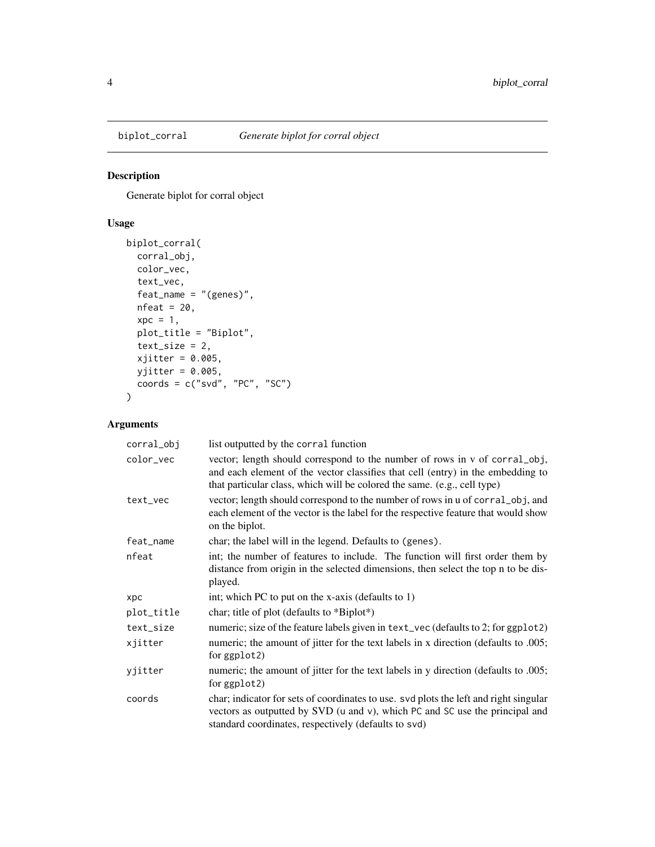<span id="page-3-0"></span>

## Description

Generate biplot for corral object

## Usage

```
biplot_corral(
  corral_obj,
  color_vec,
  text_vec,
  feat_name = "(genes)",
  nfeat = 20,
  xpc = 1,
  plot_title = "Biplot",
  text_size = 2,xjitter = 0.005,
  yjitter = 0.005,
  coords = c("svd", "PC", "SC")\mathcal{L}
```

| corral_obj | list outputted by the corral function                                                                                                                                                                                                     |
|------------|-------------------------------------------------------------------------------------------------------------------------------------------------------------------------------------------------------------------------------------------|
| color_vec  | vector; length should correspond to the number of rows in v of corral_obj,<br>and each element of the vector classifies that cell (entry) in the embedding to<br>that particular class, which will be colored the same. (e.g., cell type) |
| text_vec   | vector; length should correspond to the number of rows in u of corral_obj, and<br>each element of the vector is the label for the respective feature that would show<br>on the biplot.                                                    |
| feat_name  | char; the label will in the legend. Defaults to (genes).                                                                                                                                                                                  |
| nfeat      | int; the number of features to include. The function will first order them by<br>distance from origin in the selected dimensions, then select the top n to be dis-<br>played.                                                             |
| <b>XDC</b> | int; which PC to put on the x-axis (defaults to 1)                                                                                                                                                                                        |
| plot_title | char; title of plot (defaults to *Biplot*)                                                                                                                                                                                                |
| text_size  | numeric; size of the feature labels given in text_vec (defaults to 2; for ggp1ot2)                                                                                                                                                        |
| xjitter    | numeric; the amount of jitter for the text labels in x direction (defaults to .005;<br>for ggplot <sub>2</sub> )                                                                                                                          |
| yjitter    | numeric; the amount of jitter for the text labels in y direction (defaults to .005;<br>for ggplot2)                                                                                                                                       |
| coords     | char; indicator for sets of coordinates to use. svd plots the left and right singular<br>vectors as outputted by SVD (u and v), which PC and SC use the principal and<br>standard coordinates, respectively (defaults to svd)             |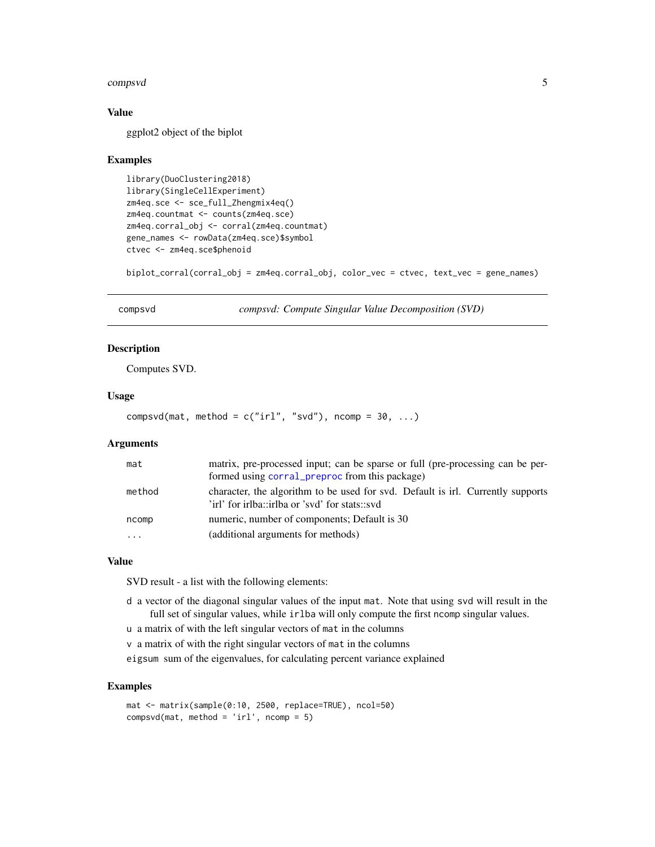#### <span id="page-4-0"></span>compsvd 5

#### Value

ggplot2 object of the biplot

#### Examples

```
library(DuoClustering2018)
library(SingleCellExperiment)
zm4eq.sce <- sce_full_Zhengmix4eq()
zm4eq.countmat <- counts(zm4eq.sce)
zm4eq.corral_obj <- corral(zm4eq.countmat)
gene_names <- rowData(zm4eq.sce)$symbol
ctvec <- zm4eq.sce$phenoid
```
biplot\_corral(corral\_obj = zm4eq.corral\_obj, color\_vec = ctvec, text\_vec = gene\_names)

compsvd *compsvd: Compute Singular Value Decomposition (SVD)*

## Description

Computes SVD.

#### Usage

```
compsvd(mat, method = c("irl", "svd"), ncomp = 30, ...)
```
#### Arguments

| mat      | matrix, pre-processed input; can be sparse or full (pre-processing can be per-<br>formed using corral_preproc from this package)  |
|----------|-----------------------------------------------------------------------------------------------------------------------------------|
| method   | character, the algorithm to be used for svd. Default is irl. Currently supports<br>'irl' for irlba::irlba or 'svd' for stats::svd |
| ncomp    | numeric, number of components; Default is 30                                                                                      |
| $\ddots$ | (additional arguments for methods)                                                                                                |

#### Value

SVD result - a list with the following elements:

- d a vector of the diagonal singular values of the input mat. Note that using svd will result in the full set of singular values, while irlba will only compute the first ncomp singular values.
- u a matrix of with the left singular vectors of mat in the columns
- v a matrix of with the right singular vectors of mat in the columns

eigsum sum of the eigenvalues, for calculating percent variance explained

```
mat <- matrix(sample(0:10, 2500, replace=TRUE), ncol=50)
compsvd(mat, method = 'irl', ncomp = 5)
```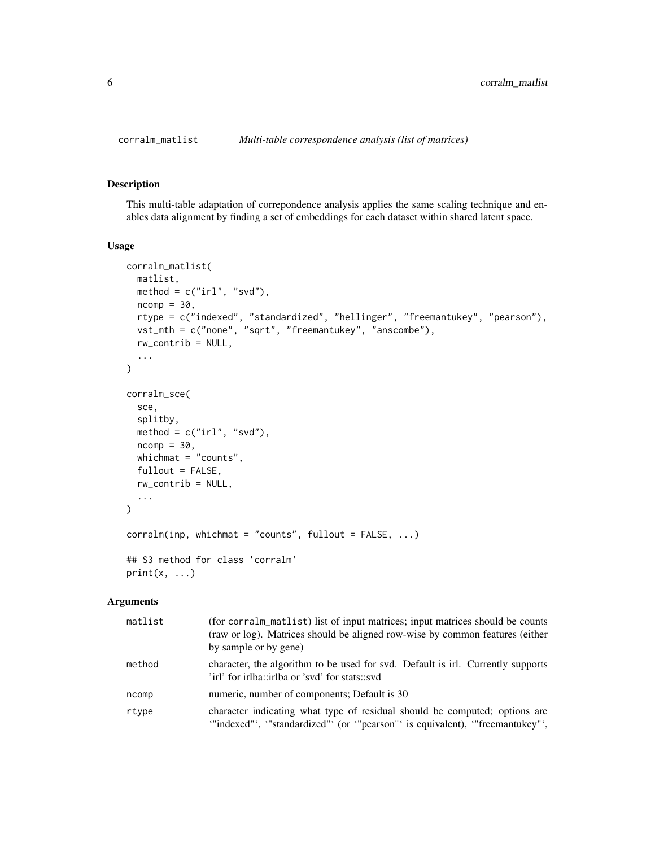#### <span id="page-5-1"></span>Description

This multi-table adaptation of correpondence analysis applies the same scaling technique and enables data alignment by finding a set of embeddings for each dataset within shared latent space.

## Usage

```
corralm_matlist(
 matlist,
 method = c("irl", "svd"),ncomp = 30,
  rtype = c("indexed", "standardized", "hellinger", "freemantukey", "pearson"),
  vst_mth = c("none", "sqrt", "freemantukey", "anscombe"),
  rw_contrib = NULL,
  ...
\mathcal{L}corralm_sce(
  sce,
  splitby,
 method = c("irl", "svd"),ncomp = 30,
 whichmat = "counts",
  fullout = FALSE,rw_contrib = NULL,
  ...
)
corralm(inp, whichmat = "counts", fullout = FALSE, ...)
## S3 method for class 'corralm'
print(x, \ldots)
```

| matlist | (for corralm_matlist) list of input matrices; input matrices should be counts<br>(raw or log). Matrices should be aligned row-wise by common features (either<br>by sample or by gene) |
|---------|----------------------------------------------------------------------------------------------------------------------------------------------------------------------------------------|
| method  | character, the algorithm to be used for svd. Default is irl. Currently supports<br>'irl' for irlba::irlba or 'svd' for stats::svd                                                      |
| ncomp   | numeric, number of components; Default is 30                                                                                                                                           |
| rtype   | character indicating what type of residual should be computed; options are<br>"indexed"', "standardized"' (or "pearson"' is equivalent), "freemantukey"',                              |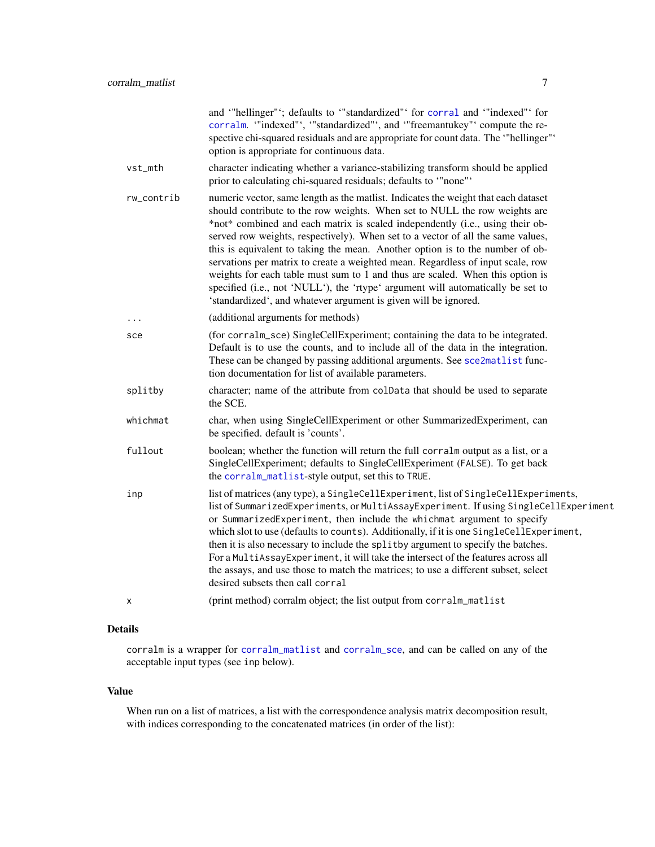and '"hellinger"'; defaults to '"standardized"' for [corral](#page-7-1) and '"indexed"' for [corralm](#page-5-1). '"indexed"', '"standardized"', and '"freemantukey"' compute the respective chi-squared residuals and are appropriate for count data. The '"hellinger"' option is appropriate for continuous data.

- <span id="page-6-0"></span>vst\_mth character indicating whether a variance-stabilizing transform should be applied prior to calculating chi-squared residuals; defaults to '"none"'
- rw\_contrib numeric vector, same length as the matlist. Indicates the weight that each dataset should contribute to the row weights. When set to NULL the row weights are \*not\* combined and each matrix is scaled independently (i.e., using their observed row weights, respectively). When set to a vector of all the same values, this is equivalent to taking the mean. Another option is to the number of observations per matrix to create a weighted mean. Regardless of input scale, row weights for each table must sum to 1 and thus are scaled. When this option is specified (i.e., not 'NULL'), the 'rtype' argument will automatically be set to 'standardized', and whatever argument is given will be ignored.
- ... (additional arguments for methods)
- sce (for corralm\_sce) SingleCellExperiment; containing the data to be integrated. Default is to use the counts, and to include all of the data in the integration. These can be changed by passing additional arguments. See [sce2matlist](#page-20-1) function documentation for list of available parameters.
- splitby character; name of the attribute from colData that should be used to separate the SCE.
- whichmat char, when using SingleCellExperiment or other SummarizedExperiment, can be specified. default is 'counts'.
- fullout boolean; whether the function will return the full corralm output as a list, or a SingleCellExperiment; defaults to SingleCellExperiment (FALSE). To get back the [corralm\\_matlist](#page-5-2)-style output, set this to TRUE.
- inp list of matrices (any type), a SingleCellExperiment, list of SingleCellExperiments, list of SummarizedExperiments, or MultiAssayExperiment. If using SingleCellExperiment or SummarizedExperiment, then include the whichmat argument to specify which slot to use (defaults to counts). Additionally, if it is one SingleCellExperiment, then it is also necessary to include the splitby argument to specify the batches. For a MultiAssayExperiment, it will take the intersect of the features across all the assays, and use those to match the matrices; to use a different subset, select desired subsets then call corral
- x (print method) corralm object; the list output from corralm\_matlist

#### Details

corralm is a wrapper for [corralm\\_matlist](#page-5-2) and [corralm\\_sce](#page-5-1), and can be called on any of the acceptable input types (see inp below).

#### Value

When run on a list of matrices, a list with the correspondence analysis matrix decomposition result, with indices corresponding to the concatenated matrices (in order of the list):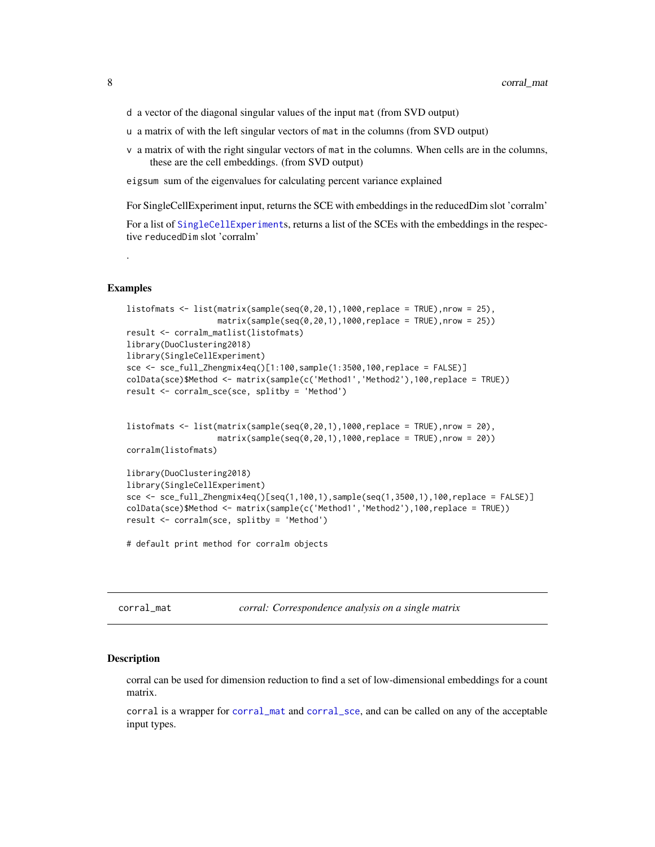- <span id="page-7-0"></span>d a vector of the diagonal singular values of the input mat (from SVD output)
- u a matrix of with the left singular vectors of mat in the columns (from SVD output)
- v a matrix of with the right singular vectors of mat in the columns. When cells are in the columns, these are the cell embeddings. (from SVD output)

eigsum sum of the eigenvalues for calculating percent variance explained

For SingleCellExperiment input, returns the SCE with embeddings in the reducedDim slot 'corralm'

For a list of [SingleCellExperiment](#page-0-0)s, returns a list of the SCEs with the embeddings in the respective reducedDim slot 'corralm'

```
Examples
```
.

```
listofmats <- list(matrix(sample(seq(0,20,1),1000,replace = TRUE),nrow = 25),
                   matrix(sample(seq(0,20,1),1000,replace = TRUE),nrow = 25))result <- corralm_matlist(listofmats)
library(DuoClustering2018)
library(SingleCellExperiment)
sce <- sce_full_Zhengmix4eq()[1:100,sample(1:3500,100,replace = FALSE)]
colData(sce)$Method <- matrix(sample(c('Method1','Method2'),100,replace = TRUE))
result <- corralm_sce(sce, splitby = 'Method')
```

```
listofmats \leq 1ist(matrix(sample(seq(0,20,1),1000,replace = TRUE),nrow = 20),
                   matrix(sample(seq(0,20,1),1000,replace = TRUE),nrow = 20))corralm(listofmats)
```

```
library(DuoClustering2018)
library(SingleCellExperiment)
sce <- sce_full_Zhengmix4eq()[seq(1,100,1),sample(seq(1,3500,1),100,replace = FALSE)]
colData(sce)$Method <- matrix(sample(c('Method1','Method2'),100,replace = TRUE))
result <- corralm(sce, splitby = 'Method')
```
# default print method for corralm objects

<span id="page-7-2"></span>

| corral mat |  |
|------------|--|
|------------|--|

corral\_mat *corral: Correspondence analysis on a single matrix*

## <span id="page-7-1"></span>Description

corral can be used for dimension reduction to find a set of low-dimensional embeddings for a count matrix.

corral is a wrapper for [corral\\_mat](#page-7-2) and [corral\\_sce](#page-7-1), and can be called on any of the acceptable input types.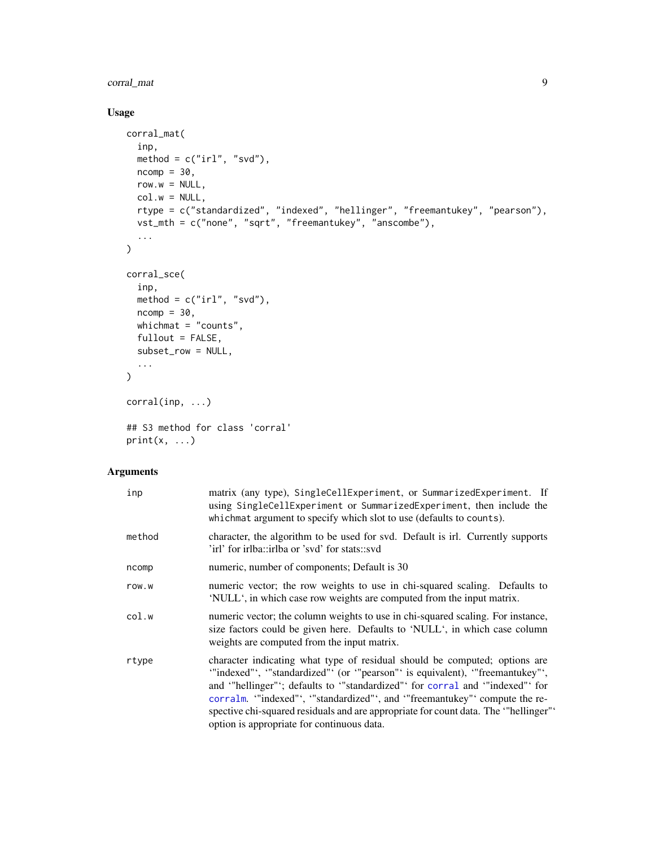## <span id="page-8-0"></span>corral\_mat 9

## Usage

```
corral_mat(
  inp,
  method = c("irl", "svd"),ncomp = 30,
  row.w = NULL,col.w = NULL,rtype = c("standardized", "indexed", "hellinger", "freemantukey", "pearson"),
  vst_mth = c("none", "sqrt", "freemantukey", "anscombe"),
  ...
\mathcal{L}corral_sce(
  inp,
  method = c("irl", "svd"),ncomp = 30,
  whichmat = "counts",
  fullout = FALSE,subset_row = NULL,
  ...
\mathcal{L}corral(inp, ...)
## S3 method for class 'corral'
print(x, \ldots)
```

| inp    | matrix (any type), SingleCellExperiment, or SummarizedExperiment. If<br>using SingleCellExperiment or SummarizedExperiment, then include the<br>whichmat argument to specify which slot to use (defaults to counts).                                                                                                                                                                                                                                |
|--------|-----------------------------------------------------------------------------------------------------------------------------------------------------------------------------------------------------------------------------------------------------------------------------------------------------------------------------------------------------------------------------------------------------------------------------------------------------|
| method | character, the algorithm to be used for svd. Default is irl. Currently supports<br>'irl' for irlba::irlba or 'svd' for stats::svd                                                                                                                                                                                                                                                                                                                   |
| ncomp  | numeric, number of components; Default is 30                                                                                                                                                                                                                                                                                                                                                                                                        |
| row.w  | numeric vector; the row weights to use in chi-squared scaling. Defaults to<br>'NULL', in which case row weights are computed from the input matrix.                                                                                                                                                                                                                                                                                                 |
| col.w  | numeric vector; the column weights to use in chi-squared scaling. For instance,<br>size factors could be given here. Defaults to 'NULL', in which case column<br>weights are computed from the input matrix.                                                                                                                                                                                                                                        |
| rtype  | character indicating what type of residual should be computed; options are<br>"indexed"', "standardized"' (or "pearson"' is equivalent), "freemantukey"',<br>and "hellinger"; defaults to "standardized" for corral and "indexed" for<br>corralm. "indexed", "standardized", and "freemantukey" compute the re-<br>spective chi-squared residuals and are appropriate for count data. The "hellinger"<br>option is appropriate for continuous data. |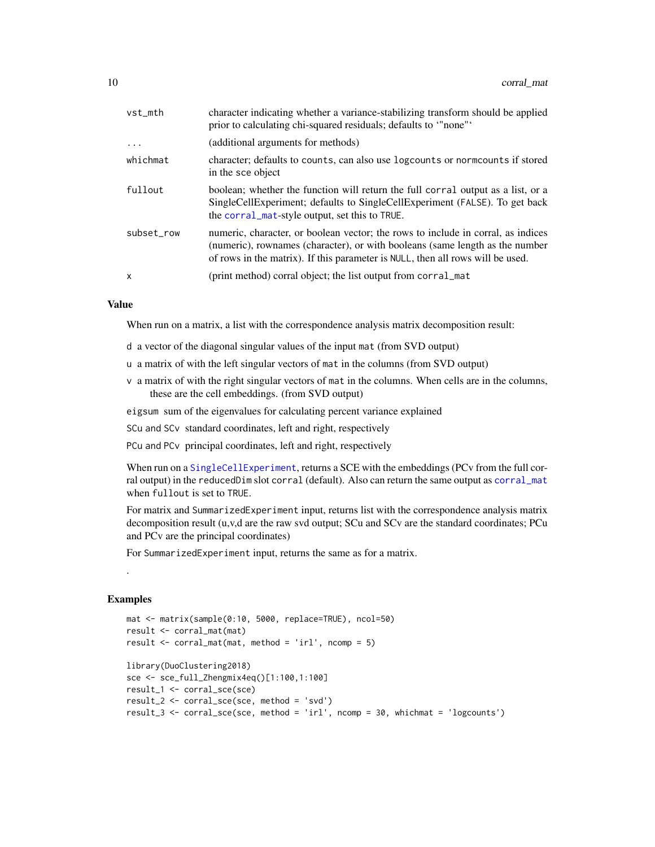<span id="page-9-0"></span>

| vst_mth    | character indicating whether a variance-stabilizing transform should be applied<br>prior to calculating chi-squared residuals; defaults to "none".                                                                                                 |
|------------|----------------------------------------------------------------------------------------------------------------------------------------------------------------------------------------------------------------------------------------------------|
| $\ddots$ . | (additional arguments for methods)                                                                                                                                                                                                                 |
| whichmat   | character; defaults to counts, can also use logcounts or norm counts if stored<br>in the sce object                                                                                                                                                |
| fullout    | boolean; whether the function will return the full corral output as a list, or a<br>SingleCellExperiment; defaults to SingleCellExperiment (FALSE). To get back<br>the corral_mat-style output, set this to TRUE.                                  |
| subset row | numeric, character, or boolean vector; the rows to include in corral, as indices<br>(numeric), rownames (character), or with booleans (same length as the number<br>of rows in the matrix). If this parameter is NULL, then all rows will be used. |
| x          | (print method) corral object; the list output from corral_mat                                                                                                                                                                                      |
|            |                                                                                                                                                                                                                                                    |

#### Value

When run on a matrix, a list with the correspondence analysis matrix decomposition result:

- d a vector of the diagonal singular values of the input mat (from SVD output)
- u a matrix of with the left singular vectors of mat in the columns (from SVD output)
- v a matrix of with the right singular vectors of mat in the columns. When cells are in the columns, these are the cell embeddings. (from SVD output)

eigsum sum of the eigenvalues for calculating percent variance explained

SCu and SCv standard coordinates, left and right, respectively

PCu and PCv principal coordinates, left and right, respectively

When run on a [SingleCellExperiment](#page-0-0), returns a SCE with the embeddings (PCv from the full corral output) in the reducedDim slot corral (default). Also can return the same output as [corral\\_mat](#page-7-2) when fullout is set to TRUE.

For matrix and SummarizedExperiment input, returns list with the correspondence analysis matrix decomposition result (u,v,d are the raw svd output; SCu and SCv are the standard coordinates; PCu and PCv are the principal coordinates)

For SummarizedExperiment input, returns the same as for a matrix.

#### Examples

.

```
mat <- matrix(sample(0:10, 5000, replace=TRUE), ncol=50)
result <- corral_mat(mat)
result \le corral_mat(mat, method = 'irl', ncomp = 5)
library(DuoClustering2018)
sce <- sce_full_Zhengmix4eq()[1:100,1:100]
result_1 <- corral_sce(sce)
result_2 <- corral_sce(sce, method = 'svd')
result_3 <- corral_sce(sce, method = 'irl', ncomp = 30, whichmat = 'logcounts')
```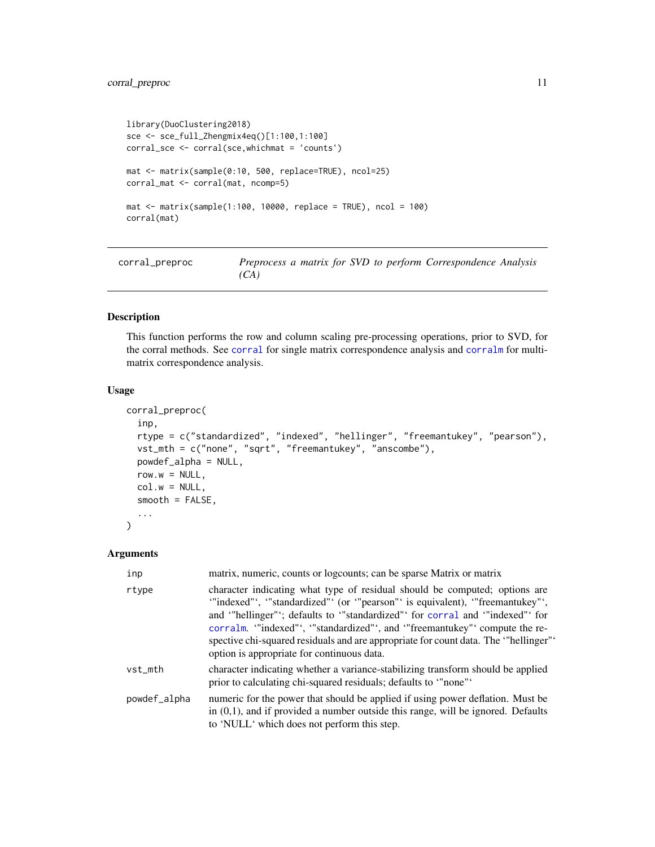## <span id="page-10-0"></span>corral\_preproc 11

```
library(DuoClustering2018)
sce <- sce_full_Zhengmix4eq()[1:100,1:100]
corral_sce <- corral(sce,whichmat = 'counts')
mat <- matrix(sample(0:10, 500, replace=TRUE), ncol=25)
corral_mat <- corral(mat, ncomp=5)
mat <- matrix(sample(1:100, 10000, replace = TRUE), ncol = 100)
corral(mat)
```
<span id="page-10-1"></span>

| corral_preproc | Preprocess a matrix for SVD to perform Correspondence Analysis |  |
|----------------|----------------------------------------------------------------|--|
|                | (CA)                                                           |  |

## Description

This function performs the row and column scaling pre-processing operations, prior to SVD, for the corral methods. See [corral](#page-7-1) for single matrix correspondence analysis and [corralm](#page-5-1) for multimatrix correspondence analysis.

#### Usage

```
corral_preproc(
  inp,
  rtype = c("standardized", "indexed", "hellinger", "freemantukey", "pearson"),
  vst_mth = c("none", "sqrt", "freemantukey", "anscombe"),
  powdef_alpha = NULL,
  row.w = NULL,col.w = NULL,smooth = FALSE,
  ...
\lambda
```

| inp          | matrix, numeric, counts or logcounts; can be sparse Matrix or matrix                                                                                                                                                                                                                                                                                                                                                                                      |
|--------------|-----------------------------------------------------------------------------------------------------------------------------------------------------------------------------------------------------------------------------------------------------------------------------------------------------------------------------------------------------------------------------------------------------------------------------------------------------------|
| rtype        | character indicating what type of residual should be computed; options are<br>"indexed"', "standardized"' (or "pearson"' is equivalent), "freemantukey"',<br>and "hellinger"; defaults to "standardized" for corral and "indexed" for<br>corralm. ""indexed"', ""standardized"', and ""freemantukey"' compute the re-<br>spective chi-squared residuals and are appropriate for count data. The "hellinger"<br>option is appropriate for continuous data. |
| vst mth      | character indicating whether a variance-stabilizing transform should be applied<br>prior to calculating chi-squared residuals; defaults to "none".                                                                                                                                                                                                                                                                                                        |
| powdef_alpha | numeric for the power that should be applied if using power deflation. Must be<br>in $(0,1)$ , and if provided a number outside this range, will be ignored. Defaults<br>to 'NULL' which does not perform this step.                                                                                                                                                                                                                                      |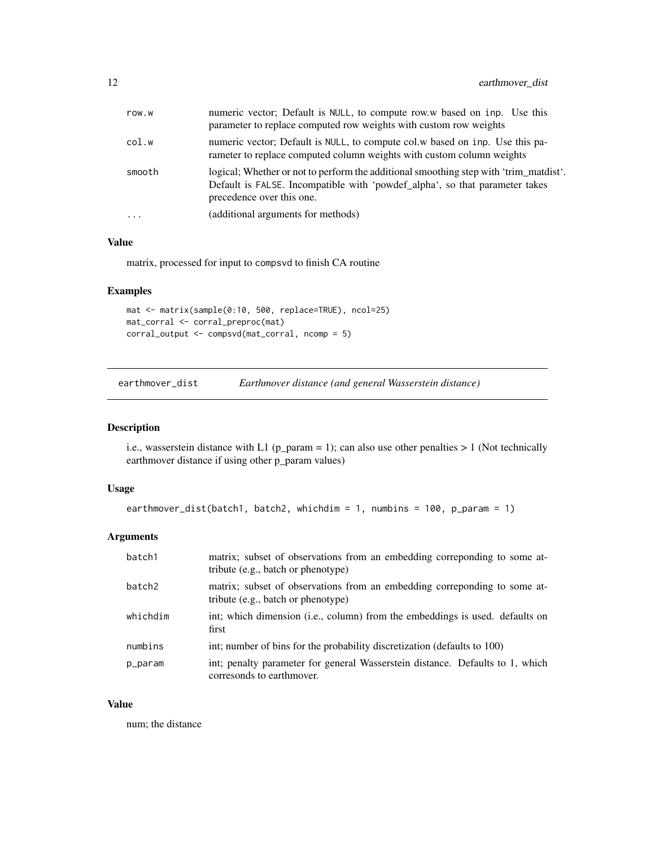<span id="page-11-0"></span>

| row.w     | numeric vector; Default is NULL, to compute row.w based on inp. Use this<br>parameter to replace computed row weights with custom row weights                                                     |
|-----------|---------------------------------------------------------------------------------------------------------------------------------------------------------------------------------------------------|
| col.w     | numeric vector; Default is NULL, to compute col.w based on inp. Use this pa-<br>rameter to replace computed column weights with custom column weights                                             |
| smooth    | logical; Whether or not to perform the additional smoothing step with 'trim matdist'.<br>Default is FALSE. Incompatible with 'powdef_alpha', so that parameter takes<br>precedence over this one. |
| $\ddotsc$ | (additional arguments for methods)                                                                                                                                                                |

## Value

matrix, processed for input to compsvd to finish CA routine

## Examples

```
mat <- matrix(sample(0:10, 500, replace=TRUE), ncol=25)
mat_corral <- corral_preproc(mat)
corral_output <- compsvd(mat_corral, ncomp = 5)
```
earthmover\_dist *Earthmover distance (and general Wasserstein distance)*

## Description

i.e., wasserstein distance with L1 ( $p$ \_param = 1); can also use other penalties > 1 (Not technically earthmover distance if using other p\_param values)

#### Usage

```
earthmover_dist(batch1, batch2, whichdim = 1, numbins = 100, p_param = 1)
```
## Arguments

| batch1             | matrix; subset of observations from an embedding corresponding to some at-<br>tribute (e.g., batch or phenotype) |
|--------------------|------------------------------------------------------------------------------------------------------------------|
| batch <sub>2</sub> | matrix; subset of observations from an embedding correponding to some at-<br>tribute (e.g., batch or phenotype)  |
| whichdim           | int; which dimension (i.e., column) from the embeddings is used. defaults on<br>first                            |
| numbins            | int; number of bins for the probability discretization (defaults to 100)                                         |
| p_param            | int; penalty parameter for general Wasserstein distance. Defaults to 1, which<br>corresonds to earthmover.       |

#### Value

num; the distance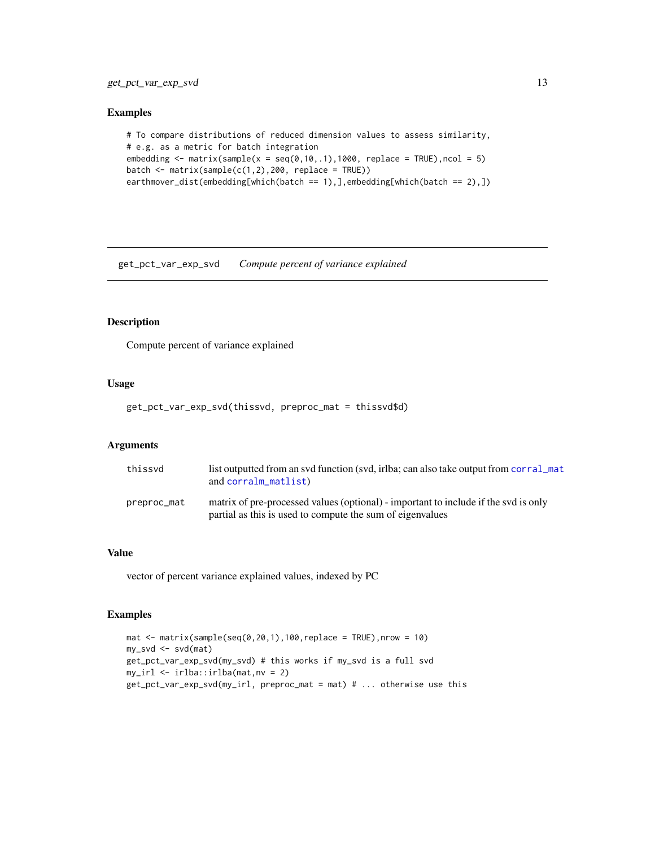#### <span id="page-12-0"></span>Examples

```
# To compare distributions of reduced dimension values to assess similarity,
# e.g. as a metric for batch integration
embedding \le matrix(sample(x = seq(0,10,.1),1000, replace = TRUE), ncol = 5)
batch \leq matrix(sample(c(1,2),200, replace = TRUE))
earthmover_dist(embedding[which(batch == 1),],embedding[which(batch == 2),])
```
get\_pct\_var\_exp\_svd *Compute percent of variance explained*

#### Description

Compute percent of variance explained

#### Usage

get\_pct\_var\_exp\_svd(thissvd, preproc\_mat = thissvd\$d)

#### **Arguments**

| thissvd     | list outputted from an syd function (syd, irlba; can also take output from corral_mat<br>and corralm_matlist)                                    |
|-------------|--------------------------------------------------------------------------------------------------------------------------------------------------|
| preproc_mat | matrix of pre-processed values (optional) - important to include if the svd is only<br>partial as this is used to compute the sum of eigenvalues |

#### Value

vector of percent variance explained values, indexed by PC

```
mat \leq matrix(sample(seq(0,20,1),100,replace = TRUE),nrow = 10)
my_svd <- svd(mat)
get_pct_var_exp_svd(my_svd) # this works if my_svd is a full svd
my_irl <- irlba::irlba(mat,nv = 2)
get_pct_var_exp_svd(my_irl, preproc_mat = mat) # ... otherwise use this
```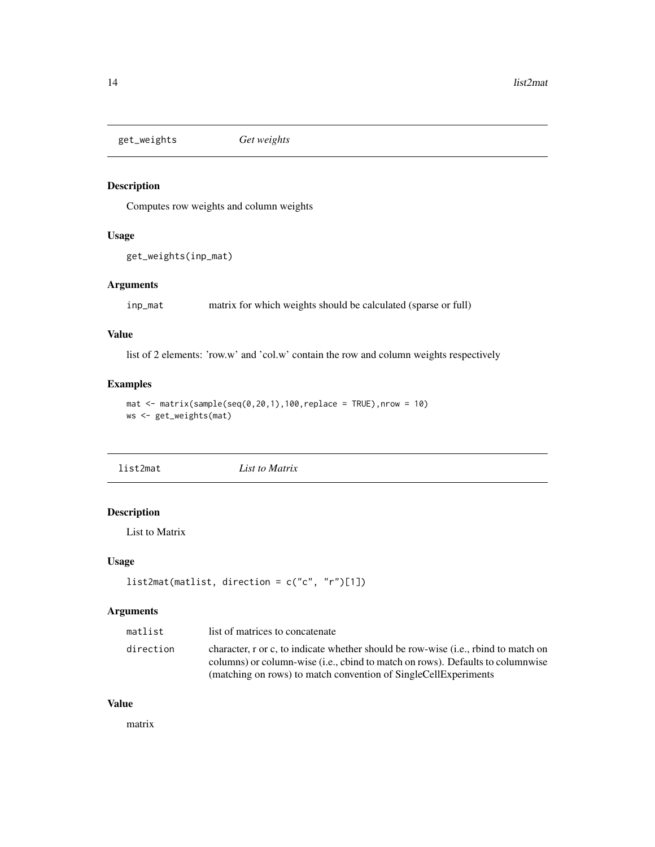<span id="page-13-0"></span>get\_weights *Get weights*

## Description

Computes row weights and column weights

## Usage

```
get_weights(inp_mat)
```
## Arguments

inp\_mat matrix for which weights should be calculated (sparse or full)

#### Value

list of 2 elements: 'row.w' and 'col.w' contain the row and column weights respectively

## Examples

```
mat \leq matrix(sample(seq(0,20,1),100, replace = TRUE), nrow = 10)
ws <- get_weights(mat)
```
list2mat *List to Matrix*

## Description

List to Matrix

#### Usage

```
list2mat(matlist, direction = c("c", "r")[1])
```
## Arguments

| matlist   | list of matrices to concatenate                                                                                                                                               |
|-----------|-------------------------------------------------------------------------------------------------------------------------------------------------------------------------------|
| direction | character, r or c, to indicate whether should be row-wise (i.e., rbind to match on<br>columns) or column-wise ( <i>i.e.</i> , cbind to match on rows). Defaults to columnwise |
|           | (matching on rows) to match convention of SingleCellExperiments                                                                                                               |

#### Value

matrix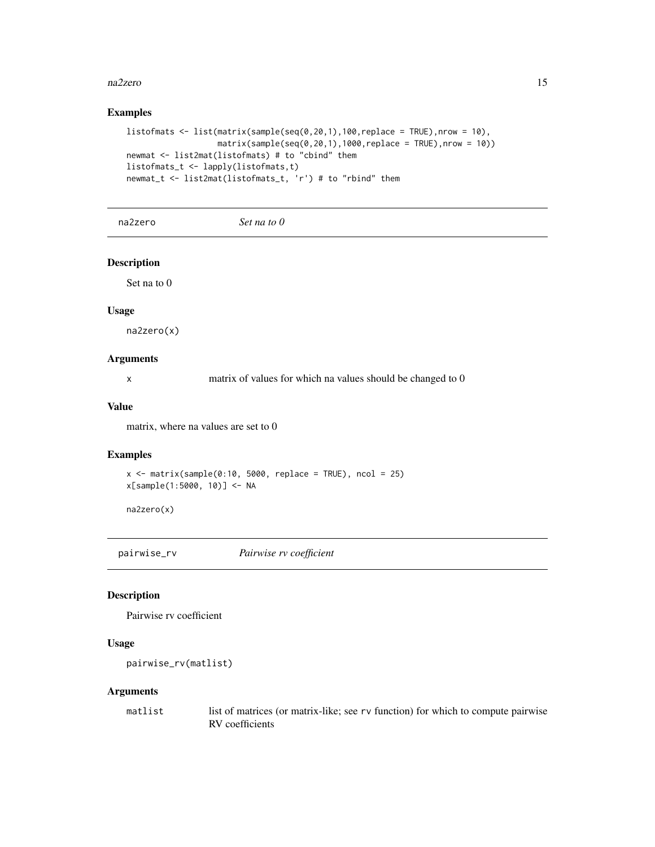#### <span id="page-14-0"></span>na2zero 15

## Examples

```
listofmats <- list(matrix(sample(seq(0,20,1),100,replace = TRUE),nrow = 10),
                  matrix(sample(seq(0,20,1),1000,replace = TRUE),nrow = 10))newmat <- list2mat(listofmats) # to "cbind" them
listofmats_t <- lapply(listofmats,t)
newmat_t <- list2mat(listofmats_t, 'r') # to "rbind" them
```
na2zero *Set na to 0*

#### Description

Set na to 0

## Usage

na2zero(x)

## Arguments

x matrix of values for which na values should be changed to 0

#### Value

matrix, where na values are set to 0

#### Examples

```
x \le - matrix(sample(0:10, 5000, replace = TRUE), ncol = 25)
x[sample(1:5000, 10)] <- NA
```
na2zero(x)

pairwise\_rv *Pairwise rv coefficient*

#### Description

Pairwise rv coefficient

#### Usage

```
pairwise_rv(matlist)
```

| matlist | list of matrices (or matrix-like; see rv function) for which to compute pairwise |
|---------|----------------------------------------------------------------------------------|
|         | RV coefficients                                                                  |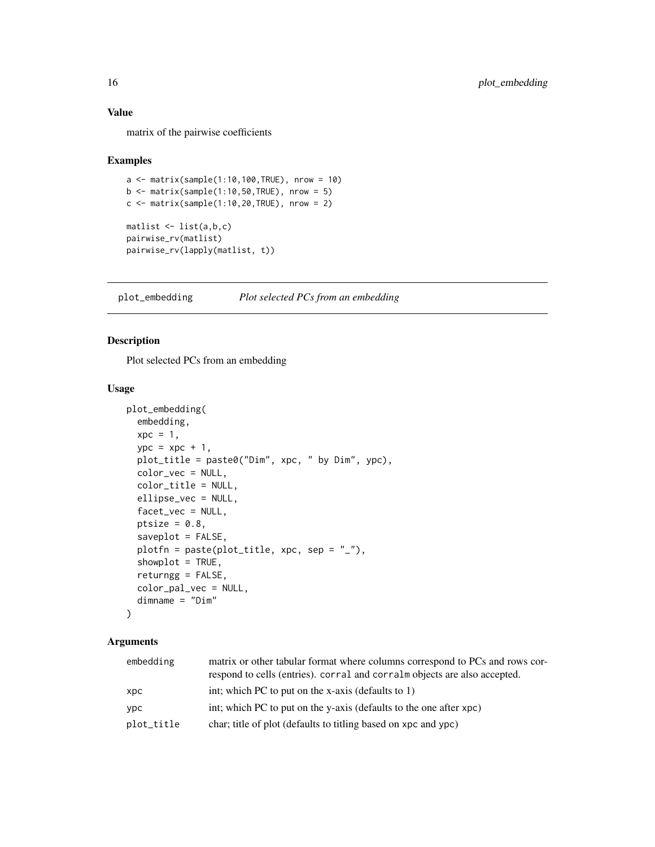### <span id="page-15-0"></span>Value

matrix of the pairwise coefficients

#### Examples

```
a \leq - matrix(sample(1:10,100,TRUE), nrow = 10)
b \le matrix(sample(1:10,50,TRUE), nrow = 5)
c \le matrix(sample(1:10,20,TRUE), nrow = 2)
matlist \leq list(a,b,c)pairwise_rv(matlist)
pairwise_rv(lapply(matlist, t))
```
<span id="page-15-1"></span>plot\_embedding *Plot selected PCs from an embedding*

## Description

Plot selected PCs from an embedding

## Usage

```
plot_embedding(
  embedding,
 xpc = 1,
 ype = xpc + 1,
 plot_title = paste0("Dim", xpc, " by Dim", ypc),
 color_vec = NULL,
  color_title = NULL,
 ellipse_vec = NULL,
 facet_vec = NULL,
 ptsize = 0.8,
  saveplot = FALSE,
 plotfn = paste(plot_title, xpc, sep = "_"),
  showplot = TRUE,
  returngg = FALSE,
  color_pal_vec = NULL,
  dimname = "Dim"
)
```

| embedding  | matrix or other tabular format where columns correspond to PCs and rows cor- |
|------------|------------------------------------------------------------------------------|
|            | respond to cells (entries). corral and corral m objects are also accepted.   |
| xpc        | int; which PC to put on the x-axis (defaults to 1)                           |
| ypc        | int; which PC to put on the y-axis (defaults to the one after xpc)           |
| plot_title | char; title of plot (defaults to titling based on xpc and ypc)               |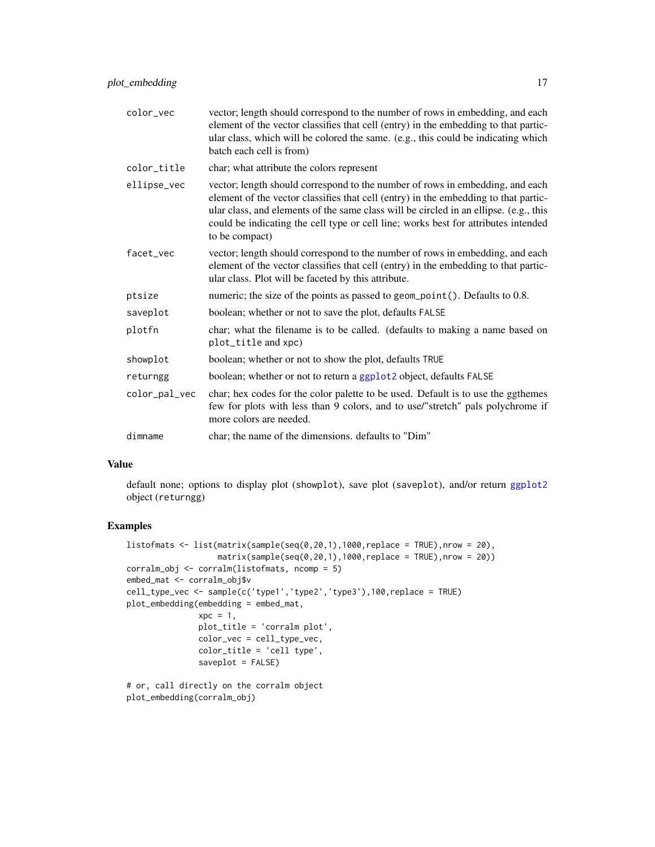<span id="page-16-0"></span>

| color_vec     | vector; length should correspond to the number of rows in embedding, and each<br>element of the vector classifies that cell (entry) in the embedding to that partic-<br>ular class, which will be colored the same. (e.g., this could be indicating which<br>batch each cell is from)                                                                                 |
|---------------|-----------------------------------------------------------------------------------------------------------------------------------------------------------------------------------------------------------------------------------------------------------------------------------------------------------------------------------------------------------------------|
| color_title   | char; what attribute the colors represent                                                                                                                                                                                                                                                                                                                             |
| ellipse_vec   | vector; length should correspond to the number of rows in embedding, and each<br>element of the vector classifies that cell (entry) in the embedding to that partic-<br>ular class, and elements of the same class will be circled in an ellipse. (e.g., this<br>could be indicating the cell type or cell line; works best for attributes intended<br>to be compact) |
| facet_vec     | vector; length should correspond to the number of rows in embedding, and each<br>element of the vector classifies that cell (entry) in the embedding to that partic-<br>ular class. Plot will be faceted by this attribute.                                                                                                                                           |
| ptsize        | numeric; the size of the points as passed to geom_point(). Defaults to 0.8.                                                                                                                                                                                                                                                                                           |
| saveplot      | boolean; whether or not to save the plot, defaults FALSE                                                                                                                                                                                                                                                                                                              |
| plotfn        | char; what the filename is to be called. (defaults to making a name based on<br>plot_title and xpc)                                                                                                                                                                                                                                                                   |
| showplot      | boolean; whether or not to show the plot, defaults TRUE                                                                                                                                                                                                                                                                                                               |
| returngg      | boolean; whether or not to return a ggplot2 object, defaults FALSE                                                                                                                                                                                                                                                                                                    |
| color_pal_vec | char; hex codes for the color palette to be used. Default is to use the ggthemes<br>few for plots with less than 9 colors, and to use/"stretch" pals polychrome if<br>more colors are needed.                                                                                                                                                                         |
| dimname       | char; the name of the dimensions. defaults to "Dim"                                                                                                                                                                                                                                                                                                                   |

## Value

default none; options to display plot (showplot), save plot (saveplot), and/or return [ggplot2](#page-0-0) object (returngg)

```
listofmats \leq list(matrix(sample(seq(0,20,1),1000,replace = TRUE),nrow = 20),
                  matrix(sample(seq(0,20,1),1000,replace = TRUE),nrow = 20)corralm_obj <- corralm(listofmats, ncomp = 5)
embed_mat <- corralm_obj$v
cell_type_vec <- sample(c('type1','type2','type3'),100,replace = TRUE)
plot_embedding(embedding = embed_mat,
               xpc = 1,
               plot_title = 'corralm plot',
               color_vec = cell_type_vec,
               color_title = 'cell type',
               saveplot = FALSE)
# or, call directly on the corralm object
```

```
plot_embedding(corralm_obj)
```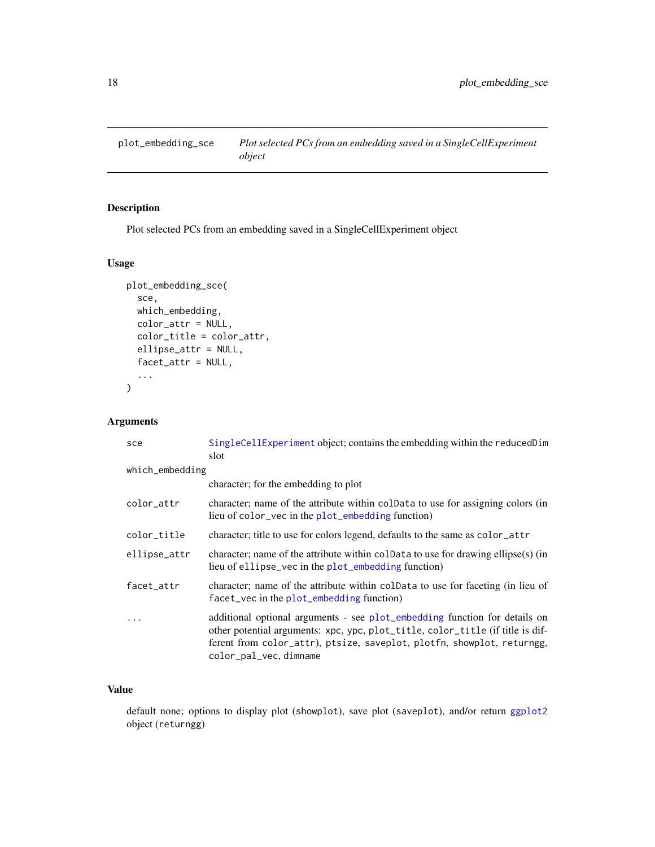<span id="page-17-0"></span>plot\_embedding\_sce *Plot selected PCs from an embedding saved in a SingleCellExperiment object*

## Description

Plot selected PCs from an embedding saved in a SingleCellExperiment object

## Usage

```
plot_embedding_sce(
  sce,
 which_embedding,
 color_attr = NULL,
 color_title = color_attr,
  ellipse_attr = NULL,
 facet_attr = NULL,
  ...
\mathcal{L}
```
## Arguments

| sce             | SingleCellExperiment object; contains the embedding within the reducedDim<br>slot                                                                                                                                                                                |
|-----------------|------------------------------------------------------------------------------------------------------------------------------------------------------------------------------------------------------------------------------------------------------------------|
| which_embedding |                                                                                                                                                                                                                                                                  |
|                 | character; for the embedding to plot                                                                                                                                                                                                                             |
| color_attr      | character; name of the attribute within coldata to use for assigning colors (in<br>lieu of color_vec in the plot_embedding function)                                                                                                                             |
| color_title     | character; title to use for colors legend, defaults to the same as color_attr                                                                                                                                                                                    |
| ellipse_attr    | character; name of the attribute within coldata to use for drawing ellipse(s) (in<br>lieu of ellipse_vec in the plot_embedding function)                                                                                                                         |
| facet_attr      | character; name of the attribute within coldata to use for faceting (in lieu of<br>facet_vec in the plot_embedding function)                                                                                                                                     |
| .               | additional optional arguments - see plot_embedding function for details on<br>other potential arguments: xpc, ypc, plot_title, color_title (if title is dif-<br>ferent from color_attr), ptsize, saveplot, plotfn, showplot, returngg,<br>color_pal_vec, dimname |

## Value

default none; options to display plot (showplot), save plot (saveplot), and/or return [ggplot2](#page-0-0) object (returngg)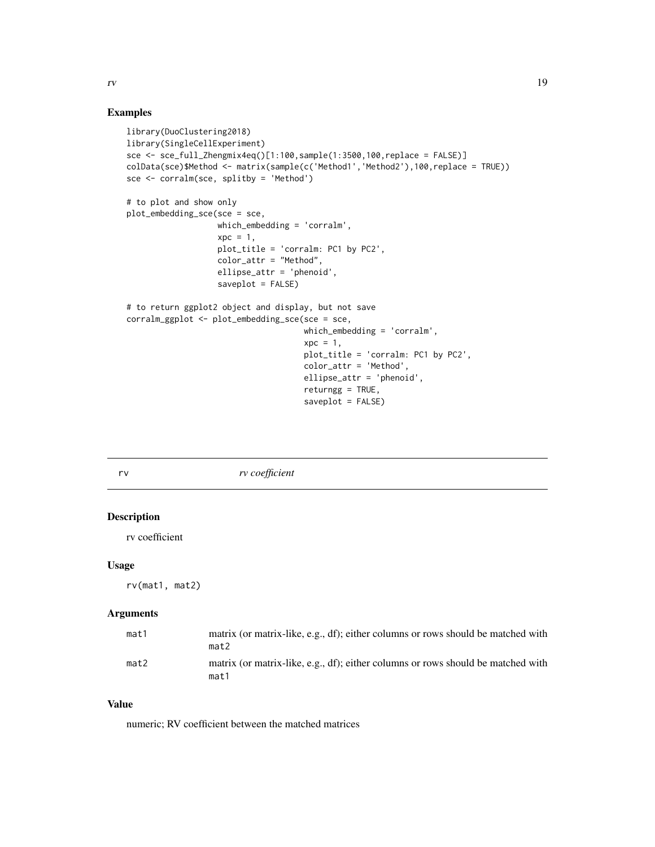#### Examples

```
library(DuoClustering2018)
library(SingleCellExperiment)
sce <- sce_full_Zhengmix4eq()[1:100,sample(1:3500,100,replace = FALSE)]
colData(sce)$Method <- matrix(sample(c('Method1','Method2'),100,replace = TRUE))
sce <- corralm(sce, splitby = 'Method')
# to plot and show only
plot_embedding_sce(sce = sce,
                   which_embedding = 'corralm',
                   xpc = 1,
                   plot_title = 'corralm: PC1 by PC2',
                   color_attr = "Method",
                   ellipse_attr = 'phenoid',
                   saveplot = FALSE)
# to return ggplot2 object and display, but not save
corralm_ggplot <- plot_embedding_sce(sce = sce,
                                     which_embedding = 'corralm',
                                     xpc = 1,
                                     plot_title = 'corralm: PC1 by PC2',
                                     color_attr = 'Method',
                                     ellipse_attr = 'phenoid',
                                     returngg = TRUE,
                                     saveplot = FALSE)
```
rv *rv coefficient*

## Description

rv coefficient

## Usage

rv(mat1, mat2)

### Arguments

| mat1 | matrix (or matrix-like, e.g., df); either columns or rows should be matched with<br>mat2 |
|------|------------------------------------------------------------------------------------------|
| mat2 | matrix (or matrix-like, e.g., df); either columns or rows should be matched with<br>mat1 |

## Value

numeric; RV coefficient between the matched matrices

<span id="page-18-0"></span>rv 19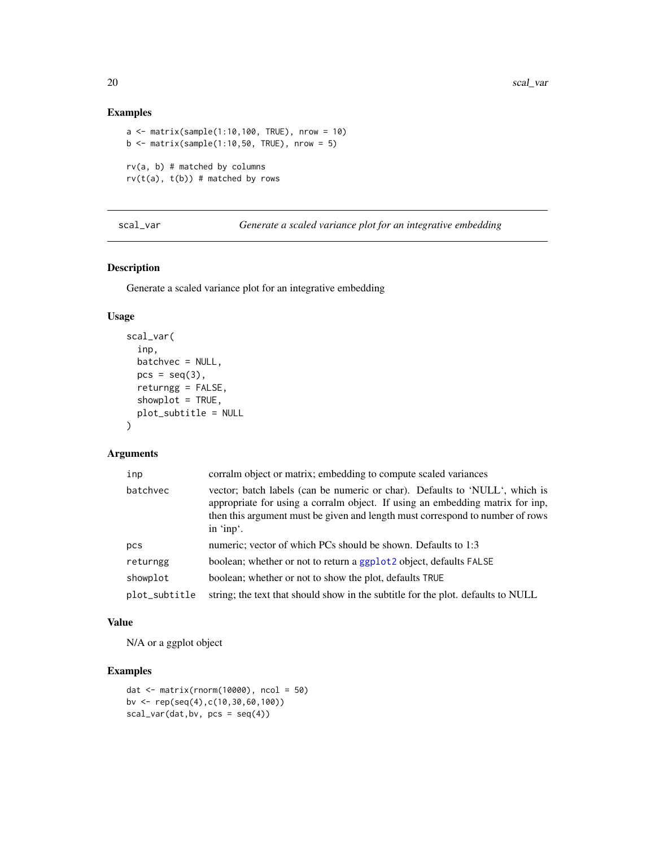## Examples

```
a \leq matrix(sample(1:10,100, TRUE), nrow = 10)
b \le matrix(sample(1:10,50, TRUE), nrow = 5)
rv(a, b) # matched by columns
rv(t(a), t(b)) # matched by rows
```
scal\_var *Generate a scaled variance plot for an integrative embedding*

#### Description

Generate a scaled variance plot for an integrative embedding

## Usage

```
scal_var(
  inp,
 batchvec = NULL,
 pcs = seq(3),
 returngg = FALSE,
  showplot = TRUE,
 plot_subtitle = NULL
\lambda
```
#### Arguments

| inp           | corralm object or matrix; embedding to compute scaled variances                                                                                                                                                                                            |
|---------------|------------------------------------------------------------------------------------------------------------------------------------------------------------------------------------------------------------------------------------------------------------|
| batchvec      | vector; batch labels (can be numeric or char). Defaults to 'NULL', which is<br>appropriate for using a corralm object. If using an embedding matrix for inp,<br>then this argument must be given and length must correspond to number of rows<br>in 'inp'. |
| pcs           | numeric; vector of which PCs should be shown. Defaults to 1:3                                                                                                                                                                                              |
| returngg      | boolean; whether or not to return a ggplot 2 object, defaults FALSE                                                                                                                                                                                        |
| showplot      | boolean; whether or not to show the plot, defaults TRUE                                                                                                                                                                                                    |
| plot_subtitle | string; the text that should show in the subtitle for the plot. defaults to NULL                                                                                                                                                                           |

#### Value

N/A or a ggplot object

```
dat <- matrix(rnorm(10000), ncol = 50)
bv <- rep(seq(4),c(10,30,60,100))
scal\_var(data,bv, pcs = seq(4))
```
<span id="page-19-0"></span>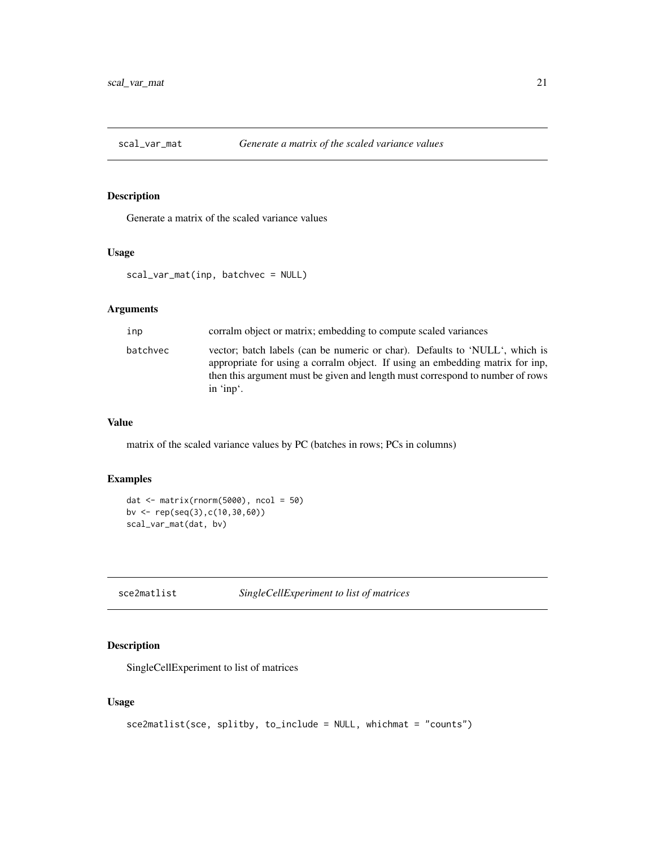<span id="page-20-0"></span>

#### Description

Generate a matrix of the scaled variance values

## Usage

```
scal_var_mat(inp, batchvec = NULL)
```
## Arguments

| inp      | corralm object or matrix; embedding to compute scaled variances                                                                                                                                                                                            |
|----------|------------------------------------------------------------------------------------------------------------------------------------------------------------------------------------------------------------------------------------------------------------|
| batchvec | vector; batch labels (can be numeric or char). Defaults to 'NULL', which is<br>appropriate for using a corralm object. If using an embedding matrix for inp,<br>then this argument must be given and length must correspond to number of rows<br>in 'inp'. |

#### Value

matrix of the scaled variance values by PC (batches in rows; PCs in columns)

## Examples

```
dat <- matrix(rnorm(5000), ncol = 50)
bv <- rep(seq(3),c(10,30,60))
scal_var_mat(dat, bv)
```
<span id="page-20-1"></span>sce2matlist *SingleCellExperiment to list of matrices*

## Description

SingleCellExperiment to list of matrices

## Usage

```
sce2matlist(sce, splitby, to_include = NULL, whichmat = "counts")
```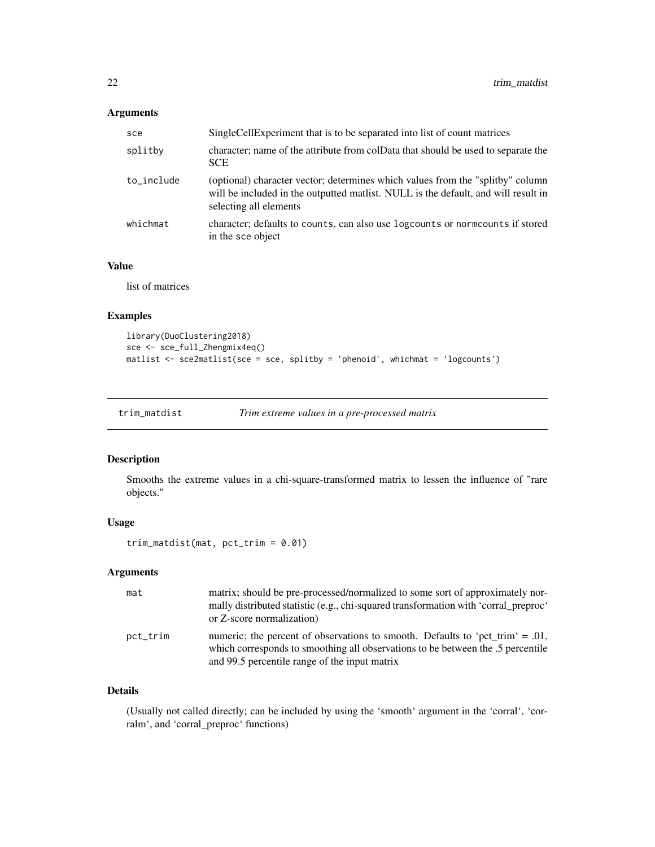## <span id="page-21-0"></span>Arguments

| sce        | Single Cell Experiment that is to be separated into list of count matrices                                                                                                                     |
|------------|------------------------------------------------------------------------------------------------------------------------------------------------------------------------------------------------|
| splitby    | character; name of the attribute from colData that should be used to separate the<br><b>SCE</b>                                                                                                |
| to_include | (optional) character vector; determines which values from the "splitby" column<br>will be included in the outputted matlist. NULL is the default, and will result in<br>selecting all elements |
| whichmat   | character; defaults to counts, can also use logcounts or norm counts if stored<br>in the sce object                                                                                            |

## Value

list of matrices

## Examples

```
library(DuoClustering2018)
sce <- sce_full_Zhengmix4eq()
matlist <- sce2matlist(sce = sce, splitby = 'phenoid', whichmat = 'logcounts')
```
## Description

Smooths the extreme values in a chi-square-transformed matrix to lessen the influence of "rare objects."

#### Usage

```
trim_matdist(mat, pct_trim = 0.01)
```
#### Arguments

| mat      | matrix; should be pre-processed/normalized to some sort of approximately nor-<br>mally distributed statistic (e.g., chi-squared transformation with 'corral_preproc'<br>or Z-score normalization)                    |
|----------|----------------------------------------------------------------------------------------------------------------------------------------------------------------------------------------------------------------------|
| pct_trim | numeric; the percent of observations to smooth. Defaults to 'pct trim' = $.01$ ,<br>which corresponds to smoothing all observations to be between the .5 percentile<br>and 99.5 percentile range of the input matrix |

## Details

(Usually not called directly; can be included by using the 'smooth' argument in the 'corral', 'corralm', and 'corral\_preproc' functions)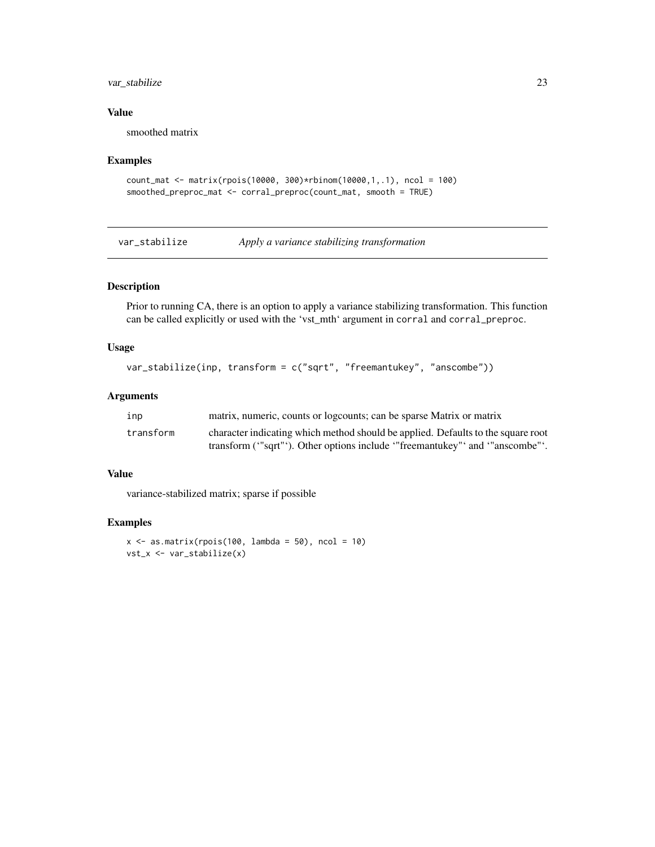## <span id="page-22-0"></span>var\_stabilize 23

#### Value

smoothed matrix

#### Examples

```
count_mat <- matrix(rpois(10000, 300)*rbinom(10000,1,.1), ncol = 100)
smoothed_preproc_mat <- corral_preproc(count_mat, smooth = TRUE)
```
var\_stabilize *Apply a variance stabilizing transformation*

## Description

Prior to running CA, there is an option to apply a variance stabilizing transformation. This function can be called explicitly or used with the 'vst\_mth' argument in corral and corral\_preproc.

## Usage

```
var_stabilize(inp, transform = c("sqrt", "freemantukey", "anscombe"))
```
## Arguments

| inp       | matrix, numeric, counts or logcounts; can be sparse Matrix or matrix             |
|-----------|----------------------------------------------------------------------------------|
| transform | character indicating which method should be applied. Defaults to the square root |
|           | transform ("sqrt"). Other options include "freemantukey" and "anscombe".         |

#### Value

variance-stabilized matrix; sparse if possible

```
x \le - as.matrix(rpois(100, lambda = 50), ncol = 10)
vst_x <- var_stabilize(x)
```